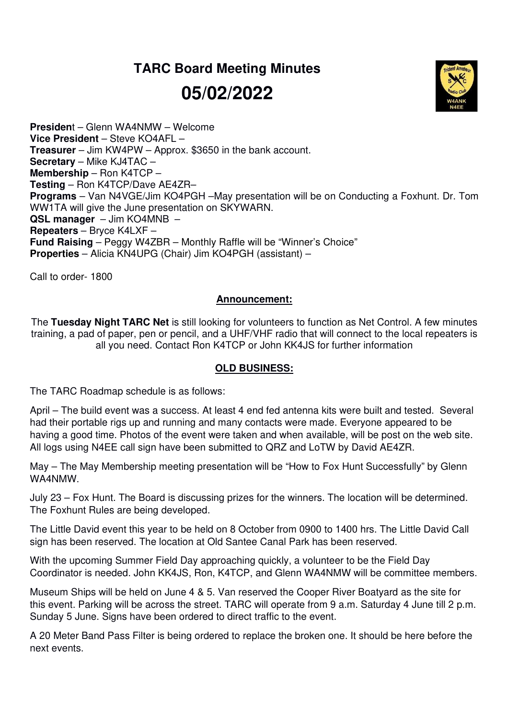## **TARC Board Meeting Minutes 05/02/2022**



**Presiden**t – Glenn WA4NMW – Welcome **Vice President** – Steve KO4AFL – **Treasurer** – Jim KW4PW – Approx. \$3650 in the bank account. **Secretary** – Mike KJ4TAC – **Membership** – Ron K4TCP – **Testing** – Ron K4TCP/Dave AE4ZR– **Programs** – Van N4VGE/Jim KO4PGH –May presentation will be on Conducting a Foxhunt. Dr. Tom WW1TA will give the June presentation on SKYWARN. **QSL manager** – Jim KO4MNB – **Repeaters** – Bryce K4LXF – **Fund Raising** – Peggy W4ZBR – Monthly Raffle will be "Winner's Choice" **Properties** – Alicia KN4UPG (Chair) Jim KO4PGH (assistant) –

Call to order- 1800

## **Announcement:**

The **Tuesday Night TARC Net** is still looking for volunteers to function as Net Control. A few minutes training, a pad of paper, pen or pencil, and a UHF/VHF radio that will connect to the local repeaters is all you need. Contact Ron K4TCP or John KK4JS for further information

## **OLD BUSINESS:**

The TARC Roadmap schedule is as follows:

April – The build event was a success. At least 4 end fed antenna kits were built and tested. Several had their portable rigs up and running and many contacts were made. Everyone appeared to be having a good time. Photos of the event were taken and when available, will be post on the web site. All logs using N4EE call sign have been submitted to QRZ and LoTW by David AE4ZR.

May – The May Membership meeting presentation will be "How to Fox Hunt Successfully" by Glenn WA4NMW.

July 23 – Fox Hunt. The Board is discussing prizes for the winners. The location will be determined. The Foxhunt Rules are being developed.

The Little David event this year to be held on 8 October from 0900 to 1400 hrs. The Little David Call sign has been reserved. The location at Old Santee Canal Park has been reserved.

With the upcoming Summer Field Day approaching quickly, a volunteer to be the Field Day Coordinator is needed. John KK4JS, Ron, K4TCP, and Glenn WA4NMW will be committee members.

Museum Ships will be held on June 4 & 5. Van reserved the Cooper River Boatyard as the site for this event. Parking will be across the street. TARC will operate from 9 a.m. Saturday 4 June till 2 p.m. Sunday 5 June. Signs have been ordered to direct traffic to the event.

A 20 Meter Band Pass Filter is being ordered to replace the broken one. It should be here before the next events.